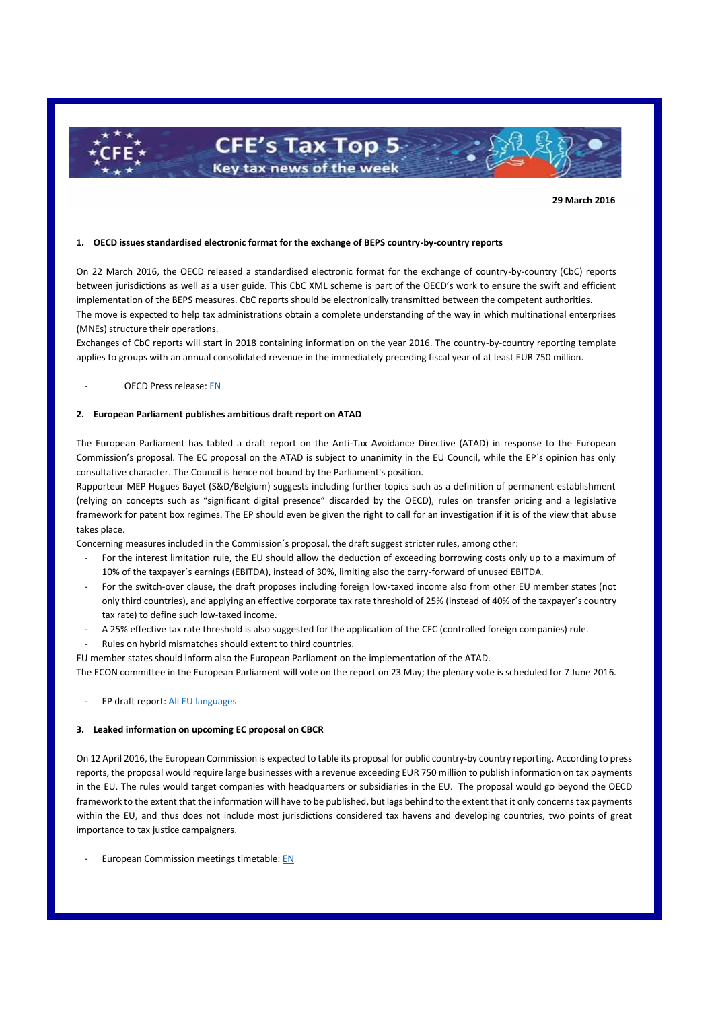

**29 March 2016**

## **1. OECD issues standardised electronic format for the exchange of BEPS country-by-country reports**

On 22 March 2016, the OECD released a standardised electronic format for the exchange of country-by-country (CbC) reports between jurisdictions as well as a user guide. This CbC XML scheme is part of the OECD's work to ensure the swift and efficient implementation of the BEPS measures. CbC reports should be electronically transmitted between the competent authorities. The move is expected to help tax administrations obtain a complete understanding of the way in which multinational enterprises (MNEs) structure their operations.

Exchanges of CbC reports will start in 2018 containing information on the year 2016. The country-by-country reporting template applies to groups with an annual consolidated revenue in the immediately preceding fiscal year of at least EUR 750 million.

### OECD Press release[: EN](http://www.oecd.org/fr/fiscalite/oecd-releases-standardised-electronic-format-for-the-exchange-of-beps-country-by-country-reports.htm)

# **2. European Parliament publishes ambitious draft report on ATAD**

The European Parliament has tabled a draft report on the Anti-Tax Avoidance Directive (ATAD) in response to the European Commission's proposal. The EC proposal on the ATAD is subject to unanimity in the EU Council, while the EP´s opinion has only consultative character. The Council is hence not bound by the Parliament's position.

Rapporteur MEP Hugues Bayet (S&D/Belgium) suggests including further topics such as a definition of permanent establishment (relying on concepts such as "significant digital presence" discarded by the OECD), rules on transfer pricing and a legislative framework for patent box regimes. The EP should even be given the right to call for an investigation if it is of the view that abuse takes place.

Concerning measures included in the Commission´s proposal, the draft suggest stricter rules, among other:

- For the interest limitation rule, the EU should allow the deduction of exceeding borrowing costs only up to a maximum of 10% of the taxpayer´s earnings (EBITDA), instead of 30%, limiting also the carry-forward of unused EBITDA.
- For the switch-over clause, the draft proposes including foreign low-taxed income also from other EU member states (not only third countries), and applying an effective corporate tax rate threshold of 25% (instead of 40% of the taxpayer´s country tax rate) to define such low-taxed income.
- A 25% effective tax rate threshold is also suggested for the application of the CFC (controlled foreign companies) rule.
- Rules on hybrid mismatches should extent to third countries.

EU member states should inform also the European Parliament on the implementation of the ATAD.

The ECON committee in the European Parliament will vote on the report on 23 May; the plenary vote is scheduled for 7 June 2016.

# - EP draft report[: All EU languages](http://www.europarl.europa.eu/sides/getDoc.do?pubRef=-//EP//TEXT+COMPARL+PE-578.569+01+NOT+XML+V0//EN)

#### **3. Leaked information on upcoming EC proposal on CBCR**

On 12 April 2016, the European Commission is expected to table its proposal for public country-by country reporting. According to press reports, the proposal would require large businesses with a revenue exceeding EUR 750 million to publish information on tax payments in the EU. The rules would target companies with headquarters or subsidiaries in the EU. The proposal would go beyond the OECD framework to the extent that the information will have to be published, but lags behind to the extent that it only concerns tax payments within the EU, and thus does not include most jurisdictions considered tax havens and developing countries, two points of great importance to tax justice campaigners.

- European Commission meetings timetable[: EN](https://ec.europa.eu/transparency/regdoc/rep/2/2016/EN/2-2016-80-EN-F1-1.PDF)